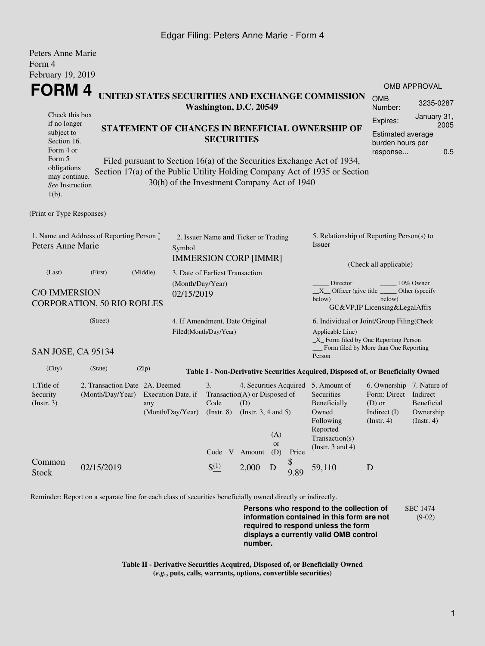### Edgar Filing: Peters Anne Marie - Form 4

| Peters Anne Marie                                                                                                           |                                                                                      |                                               |                                             |                                                         |  |                                                                            |                                                                          |            |                                                                                                                                                       |                                                                                             |                                                    |  |
|-----------------------------------------------------------------------------------------------------------------------------|--------------------------------------------------------------------------------------|-----------------------------------------------|---------------------------------------------|---------------------------------------------------------|--|----------------------------------------------------------------------------|--------------------------------------------------------------------------|------------|-------------------------------------------------------------------------------------------------------------------------------------------------------|---------------------------------------------------------------------------------------------|----------------------------------------------------|--|
| Form 4                                                                                                                      |                                                                                      |                                               |                                             |                                                         |  |                                                                            |                                                                          |            |                                                                                                                                                       |                                                                                             |                                                    |  |
| February 19, 2019                                                                                                           |                                                                                      |                                               |                                             |                                                         |  |                                                                            |                                                                          |            |                                                                                                                                                       |                                                                                             |                                                    |  |
|                                                                                                                             |                                                                                      |                                               |                                             |                                                         |  |                                                                            |                                                                          |            |                                                                                                                                                       | <b>OMB APPROVAL</b>                                                                         |                                                    |  |
|                                                                                                                             | FORM 4<br>UNITED STATES SECURITIES AND EXCHANGE COMMISSION<br>Washington, D.C. 20549 |                                               |                                             |                                                         |  |                                                                            |                                                                          |            | <b>OMB</b><br>Number:                                                                                                                                 | 3235-0287                                                                                   |                                                    |  |
| Check this box<br>if no longer<br>STATEMENT OF CHANGES IN BENEFICIAL OWNERSHIP OF<br>subject to<br>Section 16.<br>Form 4 or |                                                                                      |                                               |                                             |                                                         |  | <b>SECURITIES</b>                                                          | January 31,<br>Expires:<br>2005<br>Estimated average<br>burden hours per |            |                                                                                                                                                       |                                                                                             |                                                    |  |
| Form 5<br>obligations<br>may continue.<br>See Instruction<br>$1(b)$ .                                                       |                                                                                      |                                               | 30(h) of the Investment Company Act of 1940 |                                                         |  |                                                                            |                                                                          |            | Filed pursuant to Section 16(a) of the Securities Exchange Act of 1934,<br>Section 17(a) of the Public Utility Holding Company Act of 1935 or Section | response                                                                                    | 0.5                                                |  |
| (Print or Type Responses)                                                                                                   |                                                                                      |                                               |                                             |                                                         |  |                                                                            |                                                                          |            |                                                                                                                                                       |                                                                                             |                                                    |  |
| 1. Name and Address of Reporting Person*<br>Peters Anne Marie<br>Symbol                                                     |                                                                                      |                                               |                                             |                                                         |  | 2. Issuer Name and Ticker or Trading<br><b>IMMERSION CORP [IMMR]</b>       |                                                                          |            | 5. Relationship of Reporting Person(s) to<br>Issuer                                                                                                   |                                                                                             |                                                    |  |
| (Middle)<br>(Last)<br>(First)                                                                                               |                                                                                      |                                               |                                             | 3. Date of Earliest Transaction                         |  |                                                                            |                                                                          |            | (Check all applicable)                                                                                                                                |                                                                                             |                                                    |  |
| <b>C/O IMMERSION</b>                                                                                                        | <b>CORPORATION, 50 RIO ROBLES</b>                                                    |                                               | (Month/Day/Year)<br>02/15/2019              |                                                         |  |                                                                            |                                                                          |            | Director<br>$X$ Officer (give title $\overline{\phantom{a}}$<br>below)                                                                                | below)<br>GC&VP, IP Licensing & Legal Affrs                                                 | 10% Owner<br>Other (specify                        |  |
| (Street)                                                                                                                    |                                                                                      |                                               |                                             | 4. If Amendment, Date Original<br>Filed(Month/Day/Year) |  |                                                                            |                                                                          |            | 6. Individual or Joint/Group Filing(Check<br>Applicable Line)<br>$\_X$ Form filed by One Reporting Person                                             |                                                                                             |                                                    |  |
| SAN JOSE, CA 95134                                                                                                          |                                                                                      |                                               |                                             |                                                         |  |                                                                            |                                                                          |            | Person                                                                                                                                                | Form filed by More than One Reporting                                                       |                                                    |  |
| (City)                                                                                                                      | (State)                                                                              | (Zip)                                         |                                             |                                                         |  |                                                                            |                                                                          |            | Table I - Non-Derivative Securities Acquired, Disposed of, or Beneficially Owned                                                                      |                                                                                             |                                                    |  |
| 1. Title of<br>Security<br>(Insert. 3)                                                                                      | 2. Transaction Date 2A. Deemed<br>(Month/Day/Year)                                   | Execution Date, if<br>any<br>(Month/Day/Year) |                                             | 3.<br>Code<br>$($ Instr. $8)$<br>Code V                 |  | Transaction(A) or Disposed of<br>(D)<br>(Instr. $3, 4$ and $5$ )<br>Amount | (A)<br><b>or</b><br>(D)                                                  | Price      | 4. Securities Acquired 5. Amount of<br>Securities<br>Beneficially<br>Owned<br>Following<br>Reported<br>Transaction(s)<br>(Instr. $3$ and $4$ )        | 6. Ownership 7. Nature of<br>Form: Direct<br>$(D)$ or<br>Indirect $(I)$<br>$($ Instr. 4 $)$ | Indirect<br>Beneficial<br>Ownership<br>(Insert. 4) |  |
| Common<br><b>Stock</b>                                                                                                      | 02/15/2019                                                                           |                                               |                                             | $S^{(1)}_{-}$                                           |  | 2,000                                                                      | D                                                                        | \$<br>9.89 | 59,110                                                                                                                                                | D                                                                                           |                                                    |  |

Reminder: Report on a separate line for each class of securities beneficially owned directly or indirectly.

**Persons who respond to the collection of information contained in this form are not required to respond unless the form displays a currently valid OMB control number.** SEC 1474 (9-02)

**Table II - Derivative Securities Acquired, Disposed of, or Beneficially Owned (***e.g.***, puts, calls, warrants, options, convertible securities)**